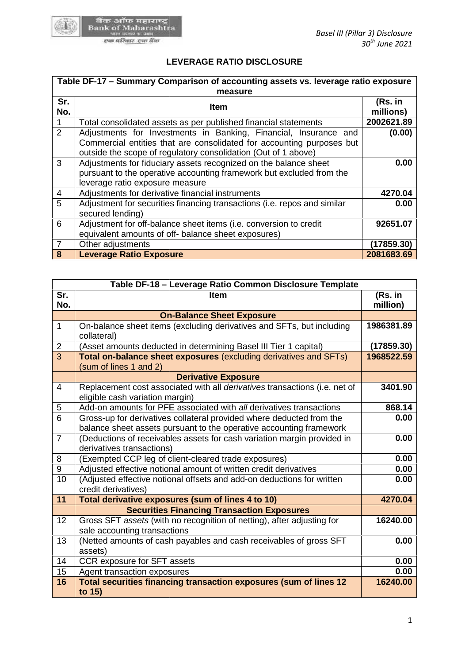

## **LEVERAGE RATIO DISCLOSURE**

| Table DF-17 - Summary Comparison of accounting assets vs. leverage ratio exposure |                                                                                                                                                                                                             |                      |  |
|-----------------------------------------------------------------------------------|-------------------------------------------------------------------------------------------------------------------------------------------------------------------------------------------------------------|----------------------|--|
| Sr.<br>No.                                                                        | measure<br><b>Item</b>                                                                                                                                                                                      | (Rs. in<br>millions) |  |
|                                                                                   | Total consolidated assets as per published financial statements                                                                                                                                             | 2002621.89           |  |
| 2                                                                                 | Adjustments for Investments in Banking, Financial, Insurance and<br>Commercial entities that are consolidated for accounting purposes but<br>outside the scope of regulatory consolidation (Out of 1 above) | (0.00)               |  |
| 3                                                                                 | Adjustments for fiduciary assets recognized on the balance sheet<br>pursuant to the operative accounting framework but excluded from the<br>leverage ratio exposure measure                                 | 0.00                 |  |
| 4                                                                                 | Adjustments for derivative financial instruments                                                                                                                                                            | 4270.04              |  |
| 5                                                                                 | Adjustment for securities financing transactions (i.e. repos and similar<br>secured lending)                                                                                                                | 0.00                 |  |
| 6                                                                                 | Adjustment for off-balance sheet items (i.e. conversion to credit<br>equivalent amounts of off- balance sheet exposures)                                                                                    | 92651.07             |  |
| $\overline{7}$                                                                    | Other adjustments                                                                                                                                                                                           | (17859.30)           |  |
| 8                                                                                 | <b>Leverage Ratio Exposure</b>                                                                                                                                                                              | 2081683.69           |  |

| 6                                                       | Adjustment for off-balance sheet items (i.e. conversion to credit                                                                           | 92651.07            |  |
|---------------------------------------------------------|---------------------------------------------------------------------------------------------------------------------------------------------|---------------------|--|
|                                                         | equivalent amounts of off- balance sheet exposures)                                                                                         |                     |  |
| $\overline{7}$                                          | Other adjustments                                                                                                                           | (17859.30)          |  |
| 8                                                       | Leverage Ratio Exposure                                                                                                                     | 2081683.69          |  |
|                                                         |                                                                                                                                             |                     |  |
| Table DF-18 - Leverage Ratio Common Disclosure Template |                                                                                                                                             |                     |  |
| Sr.<br>No.                                              | <b>Item</b>                                                                                                                                 | (Rs. in<br>million) |  |
|                                                         | <b>On-Balance Sheet Exposure</b>                                                                                                            |                     |  |
| $\mathbf{1}$                                            | On-balance sheet items (excluding derivatives and SFTs, but including<br>collateral)                                                        | 1986381.89          |  |
| $\overline{2}$                                          | (Asset amounts deducted in determining Basel III Tier 1 capital)                                                                            | (17859.30)          |  |
| $\overline{3}$                                          | Total on-balance sheet exposures (excluding derivatives and SFTs)<br>(sum of lines 1 and 2)                                                 | 1968522.59          |  |
|                                                         | <b>Derivative Exposure</b>                                                                                                                  |                     |  |
| 4                                                       | Replacement cost associated with all derivatives transactions (i.e. net of<br>eligible cash variation margin)                               | 3401.90             |  |
| 5                                                       | Add-on amounts for PFE associated with all derivatives transactions                                                                         | 868.14              |  |
| $6\phantom{1}$                                          | Gross-up for derivatives collateral provided where deducted from the<br>balance sheet assets pursuant to the operative accounting framework | 0.00                |  |
| $\overline{7}$                                          | (Deductions of receivables assets for cash variation margin provided in<br>derivatives transactions)                                        | 0.00                |  |
| 8                                                       | (Exempted CCP leg of client-cleared trade exposures)                                                                                        | 0.00                |  |
| 9                                                       | Adjusted effective notional amount of written credit derivatives                                                                            | 0.00                |  |
| 10                                                      | (Adjusted effective notional offsets and add-on deductions for written<br>credit derivatives)                                               | 0.00                |  |
| 11                                                      | Total derivative exposures (sum of lines 4 to 10)                                                                                           | 4270.04             |  |
|                                                         | <b>Securities Financing Transaction Exposures</b>                                                                                           |                     |  |
| 12                                                      | Gross SFT assets (with no recognition of netting), after adjusting for<br>sale accounting transactions                                      | 16240.00            |  |
| 13                                                      | (Netted amounts of cash payables and cash receivables of gross SFT<br>assets)                                                               | 0.00                |  |
| 14                                                      | CCR exposure for SFT assets                                                                                                                 | 0.00                |  |
| 15                                                      | Agent transaction exposures                                                                                                                 | 0.00                |  |
| 16                                                      | Total securities financing transaction exposures (sum of lines 12<br>to 15)                                                                 | 16240.00            |  |